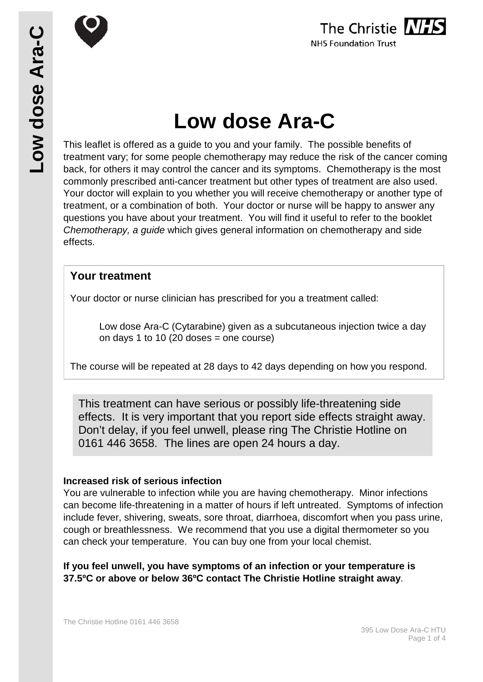

# **Low dose Ara-C**

This leaflet is offered as a guide to you and your family. The possible benefits of treatment vary; for some people chemotherapy may reduce the risk of the cancer coming back, for others it may control the cancer and its symptoms. Chemotherapy is the most commonly prescribed anti-cancer treatment but other types of treatment are also used. Your doctor will explain to you whether you will receive chemotherapy or another type of treatment, or a combination of both. Your doctor or nurse will be happy to answer any questions you have about your treatment. You will find it useful to refer to the booklet *Chemotherapy, a guide* which gives general information on chemotherapy and side effects.

#### **Your treatment**

Your doctor or nurse clinician has prescribed for you a treatment called:

Low dose Ara-C (Cytarabine) given as a subcutaneous injection twice a day on days 1 to 10 (20 doses  $=$  one course)

The course will be repeated at 28 days to 42 days depending on how you respond.

 0161 446 3658. The lines are open 24 hours a day.This treatment can have serious or possibly life-threatening side effects. It is very important that you report side effects straight away. Don't delay, if you feel unwell, please ring The Christie Hotline on

#### **Increased risk of serious infection**

You are vulnerable to infection while you are having chemotherapy. Minor infections can become life-threatening in a matter of hours if left untreated. Symptoms of infection include fever, shivering, sweats, sore throat, diarrhoea, discomfort when you pass urine, cough or breathlessness. We recommend that you use a digital thermometer so you can check your temperature. You can buy one from your local chemist.

**If you feel unwell, you have symptoms of an infection or your temperature is 37.5ºC or above or below 36ºC contact The Christie Hotline straight away**.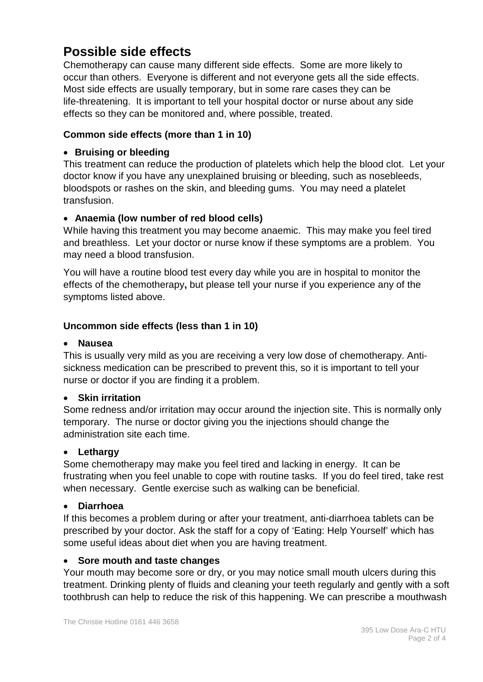## **Possible side effects**

Chemotherapy can cause many different side effects. Some are more likely to occur than others. Everyone is different and not everyone gets all the side effects. Most side effects are usually temporary, but in some rare cases they can be life-threatening. It is important to tell your hospital doctor or nurse about any side effects so they can be monitored and, where possible, treated.

#### **Common side effects (more than 1 in 10)**

#### • **Bruising or bleeding**

This treatment can reduce the production of platelets which help the blood clot. Let your doctor know if you have any unexplained bruising or bleeding, such as nosebleeds, bloodspots or rashes on the skin, and bleeding gums. You may need a platelet transfusion.

#### • **Anaemia (low number of red blood cells)**

While having this treatment you may become anaemic. This may make you feel tired and breathless. Let your doctor or nurse know if these symptoms are a problem. You may need a blood transfusion.

You will have a routine blood test every day while you are in hospital to monitor the effects of the chemotherapy**,** but please tell your nurse if you experience any of the symptoms listed above.

#### **Uncommon side effects (less than 1 in 10)**

#### • **Nausea**

This is usually very mild as you are receiving a very low dose of chemotherapy. Antisickness medication can be prescribed to prevent this, so it is important to tell your nurse or doctor if you are finding it a problem.

#### • **Skin irritation**

Some redness and/or irritation may occur around the injection site. This is normally only temporary. The nurse or doctor giving you the injections should change the administration site each time.

#### • **Lethargy**

Some chemotherapy may make you feel tired and lacking in energy. It can be frustrating when you feel unable to cope with routine tasks. If you do feel tired, take rest when necessary. Gentle exercise such as walking can be beneficial.

#### • **Diarrhoea**

If this becomes a problem during or after your treatment, anti-diarrhoea tablets can be prescribed by your doctor. Ask the staff for a copy of 'Eating: Help Yourself' which has some useful ideas about diet when you are having treatment.

#### • **Sore mouth and taste changes**

Your mouth may become sore or dry, or you may notice small mouth ulcers during this treatment. Drinking plenty of fluids and cleaning your teeth regularly and gently with a soft toothbrush can help to reduce the risk of this happening. We can prescribe a mouthwash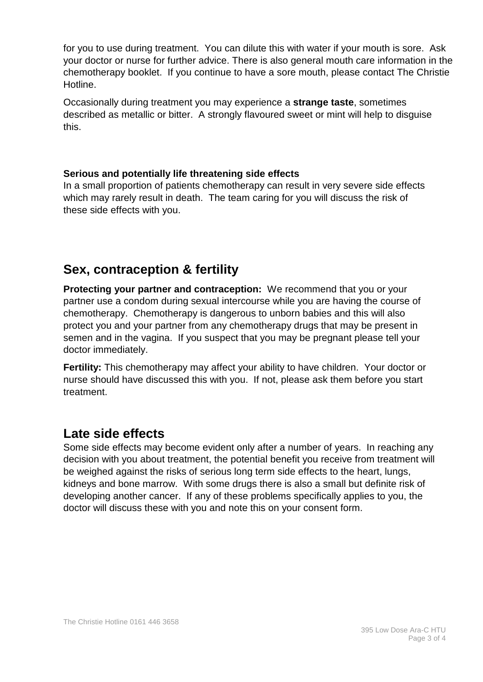for you to use during treatment. You can dilute this with water if your mouth is sore. Ask your doctor or nurse for further advice. There is also general mouth care information in the chemotherapy booklet. If you continue to have a sore mouth, please contact The Christie Hotline.

Occasionally during treatment you may experience a **strange taste**, sometimes described as metallic or bitter. A strongly flavoured sweet or mint will help to disguise this.

#### **Serious and potentially life threatening side effects**

In a small proportion of patients chemotherapy can result in very severe side effects which may rarely result in death. The team caring for you will discuss the risk of these side effects with you.

# **Sex, contraception & fertility**

**Protecting your partner and contraception:** We recommend that you or your partner use a condom during sexual intercourse while you are having the course of chemotherapy. Chemotherapy is dangerous to unborn babies and this will also protect you and your partner from any chemotherapy drugs that may be present in semen and in the vagina. If you suspect that you may be pregnant please tell your doctor immediately.

**Fertility:** This chemotherapy may affect your ability to have children. Your doctor or nurse should have discussed this with you. If not, please ask them before you start treatment.

## **Late side effects**

Some side effects may become evident only after a number of years. In reaching any decision with you about treatment, the potential benefit you receive from treatment will be weighed against the risks of serious long term side effects to the heart, lungs, kidneys and bone marrow. With some drugs there is also a small but definite risk of developing another cancer. If any of these problems specifically applies to you, the doctor will discuss these with you and note this on your consent form.